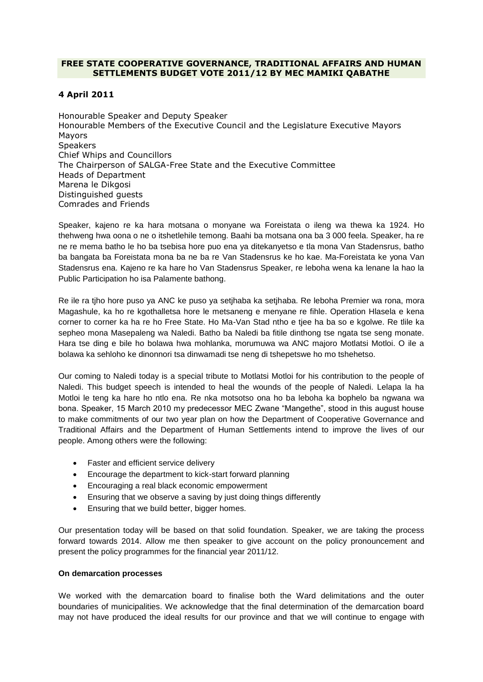## **FREE STATE COOPERATIVE GOVERNANCE, TRADITIONAL AFFAIRS AND HUMAN SETTLEMENTS BUDGET VOTE 2011/12 BY MEC MAMIKI QABATHE**

# **4 April 2011**

Honourable Speaker and Deputy Speaker Honourable Members of the Executive Council and the Legislature Executive Mayors Mayors Speakers Chief Whips and Councillors The Chairperson of SALGA-Free State and the Executive Committee Heads of Department Marena le Dikgosi Distinguished guests Comrades and Friends

Speaker, kajeno re ka hara motsana o monyane wa Foreistata o ileng wa thewa ka 1924. Ho thehweng hwa oona o ne o itshetlehile temong. Baahi ba motsana ona ba 3 000 feela. Speaker, ha re ne re mema batho le ho ba tsebisa hore puo ena ya ditekanyetso e tla mona Van Stadensrus, batho ba bangata ba Foreistata mona ba ne ba re Van Stadensrus ke ho kae. Ma-Foreistata ke yona Van Stadensrus ena. Kajeno re ka hare ho Van Stadensrus Speaker, re leboha wena ka lenane la hao la Public Participation ho isa Palamente bathong.

Re ile ra tjho hore puso ya ANC ke puso ya setjhaba ka setjhaba. Re leboha Premier wa rona, mora Magashule, ka ho re kgothalletsa hore le metsaneng e menyane re fihle. Operation Hlasela e kena corner to corner ka ha re ho Free State. Ho Ma-Van Stad ntho e tjee ha ba so e kgolwe. Re tlile ka sepheo mona Masepaleng wa Naledi. Batho ba Naledi ba fitile dinthong tse ngata tse seng monate. Hara tse ding e bile ho bolawa hwa mohlanka, morumuwa wa ANC majoro Motlatsi Motloi. O ile a bolawa ka sehloho ke dinonnori tsa dinwamadi tse neng di tshepetswe ho mo tshehetso.

Our coming to Naledi today is a special tribute to Motlatsi Motloi for his contribution to the people of Naledi. This budget speech is intended to heal the wounds of the people of Naledi. Lelapa la ha Motloi le teng ka hare ho ntlo ena. Re nka motsotso ona ho ba leboha ka bophelo ba ngwana wa bona. Speaker, 15 March 2010 my predecessor MEC Zwane "Mangethe", stood in this august house to make commitments of our two year plan on how the Department of Cooperative Governance and Traditional Affairs and the Department of Human Settlements intend to improve the lives of our people. Among others were the following:

- Faster and efficient service delivery
- Encourage the department to kick-start forward planning
- Encouraging a real black economic empowerment
- Ensuring that we observe a saving by just doing things differently
- Ensuring that we build better, bigger homes.

Our presentation today will be based on that solid foundation. Speaker, we are taking the process forward towards 2014. Allow me then speaker to give account on the policy pronouncement and present the policy programmes for the financial year 2011/12.

## **On demarcation processes**

We worked with the demarcation board to finalise both the Ward delimitations and the outer boundaries of municipalities. We acknowledge that the final determination of the demarcation board may not have produced the ideal results for our province and that we will continue to engage with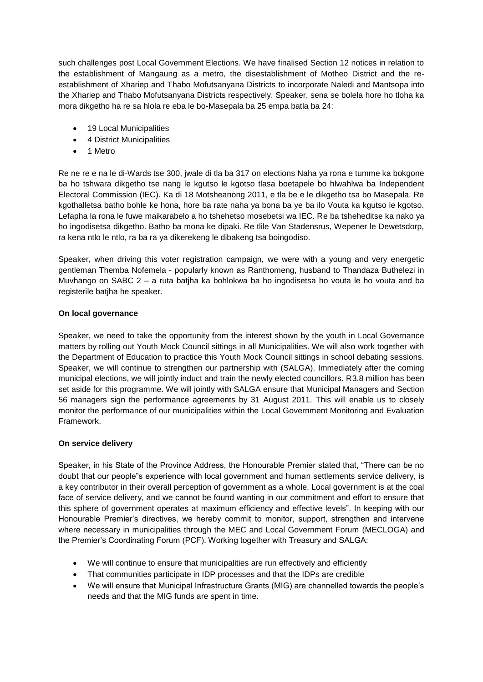such challenges post Local Government Elections. We have finalised Section 12 notices in relation to the establishment of Mangaung as a metro, the disestablishment of Motheo District and the reestablishment of Xhariep and Thabo Mofutsanyana Districts to incorporate Naledi and Mantsopa into the Xhariep and Thabo Mofutsanyana Districts respectively. Speaker, sena se bolela hore ho tloha ka mora dikgetho ha re sa hlola re eba le bo-Masepala ba 25 empa batla ba 24:

- 19 Local Municipalities
- 4 District Municipalities
- 1 Metro

Re ne re e na le di-Wards tse 300, jwale di tla ba 317 on elections Naha ya rona e tumme ka bokgone ba ho tshwara dikgetho tse nang le kgutso le kgotso tlasa boetapele bo hlwahlwa ba Independent Electoral Commission (IEC). Ka di 18 Motsheanong 2011, e tla be e le dikgetho tsa bo Masepala. Re kgothalletsa batho bohle ke hona, hore ba rate naha ya bona ba ye ba ilo Vouta ka kgutso le kgotso. Lefapha la rona le fuwe maikarabelo a ho tshehetso mosebetsi wa IEC. Re ba tsheheditse ka nako ya ho ingodisetsa dikgetho. Batho ba mona ke dipaki. Re tlile Van Stadensrus, Wepener le Dewetsdorp, ra kena ntlo le ntlo, ra ba ra ya dikerekeng le dibakeng tsa boingodiso.

Speaker, when driving this voter registration campaign, we were with a young and very energetic gentleman Themba Nofemela - popularly known as Ranthomeng, husband to Thandaza Buthelezi in Muvhango on SABC 2 – a ruta batjha ka bohlokwa ba ho ingodisetsa ho vouta le ho vouta and ba registerile batjha he speaker.

## **On local governance**

Speaker, we need to take the opportunity from the interest shown by the youth in Local Governance matters by rolling out Youth Mock Council sittings in all Municipalities. We will also work together with the Department of Education to practice this Youth Mock Council sittings in school debating sessions. Speaker, we will continue to strengthen our partnership with (SALGA). Immediately after the coming municipal elections, we will jointly induct and train the newly elected councillors. R3.8 million has been set aside for this programme. We will jointly with SALGA ensure that Municipal Managers and Section 56 managers sign the performance agreements by 31 August 2011. This will enable us to closely monitor the performance of our municipalities within the Local Government Monitoring and Evaluation Framework.

## **On service delivery**

Speaker, in his State of the Province Address, the Honourable Premier stated that, "There can be no doubt that our people"s experience with local government and human settlements service delivery, is a key contributor in their overall perception of government as a whole. Local government is at the coal face of service delivery, and we cannot be found wanting in our commitment and effort to ensure that this sphere of government operates at maximum efficiency and effective levels". In keeping with our Honourable Premier's directives, we hereby commit to monitor, support, strengthen and intervene where necessary in municipalities through the MEC and Local Government Forum (MECLOGA) and the Premier's Coordinating Forum (PCF). Working together with Treasury and SALGA:

- We will continue to ensure that municipalities are run effectively and efficiently
- That communities participate in IDP processes and that the IDPs are credible
- We will ensure that Municipal Infrastructure Grants (MIG) are channelled towards the people's needs and that the MIG funds are spent in time.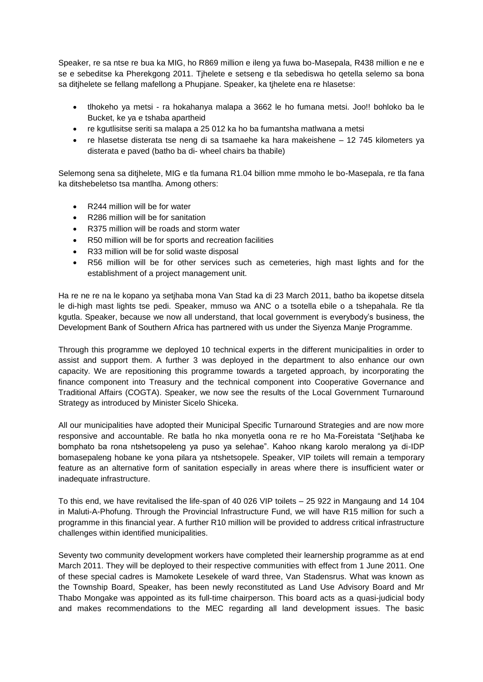Speaker, re sa ntse re bua ka MIG, ho R869 million e ileng ya fuwa bo-Masepala, R438 million e ne e se e sebeditse ka Pherekgong 2011. Tjhelete e setseng e tla sebediswa ho qetella selemo sa bona sa ditjhelete se fellang mafellong a Phupjane. Speaker, ka tjhelete ena re hlasetse:

- tlhokeho ya metsi ra hokahanya malapa a 3662 le ho fumana metsi. Joo!! bohloko ba le Bucket, ke ya e tshaba apartheid
- re kgutlisitse seriti sa malapa a 25 012 ka ho ba fumantsha matlwana a metsi
- re hlasetse disterata tse neng di sa tsamaehe ka hara makeishene 12 745 kilometers ya disterata e paved (batho ba di- wheel chairs ba thabile)

Selemong sena sa ditjhelete, MIG e tla fumana R1.04 billion mme mmoho le bo-Masepala, re tla fana ka ditshebeletso tsa mantlha. Among others:

- R244 million will be for water
- R286 million will be for sanitation
- R375 million will be roads and storm water
- R50 million will be for sports and recreation facilities
- R33 million will be for solid waste disposal
- R56 million will be for other services such as cemeteries, high mast lights and for the establishment of a project management unit.

Ha re ne re na le kopano ya setjhaba mona Van Stad ka di 23 March 2011, batho ba ikopetse ditsela le di-high mast lights tse pedi. Speaker, mmuso wa ANC o a tsotella ebile o a tshepahala. Re tla kgutla. Speaker, because we now all understand, that local government is everybody's business, the Development Bank of Southern Africa has partnered with us under the Siyenza Manje Programme.

Through this programme we deployed 10 technical experts in the different municipalities in order to assist and support them. A further 3 was deployed in the department to also enhance our own capacity. We are repositioning this programme towards a targeted approach, by incorporating the finance component into Treasury and the technical component into Cooperative Governance and Traditional Affairs (COGTA). Speaker, we now see the results of the Local Government Turnaround Strategy as introduced by Minister Sicelo Shiceka.

All our municipalities have adopted their Municipal Specific Turnaround Strategies and are now more responsive and accountable. Re batla ho nka monyetla oona re re ho Ma-Foreistata "Setjhaba ke bomphato ba rona ntshetsopeleng ya puso ya selehae". Kahoo nkang karolo meralong ya di-IDP bomasepaleng hobane ke yona pilara ya ntshetsopele. Speaker, VIP toilets will remain a temporary feature as an alternative form of sanitation especially in areas where there is insufficient water or inadequate infrastructure.

To this end, we have revitalised the life-span of 40 026 VIP toilets – 25 922 in Mangaung and 14 104 in Maluti-A-Phofung. Through the Provincial Infrastructure Fund, we will have R15 million for such a programme in this financial year. A further R10 million will be provided to address critical infrastructure challenges within identified municipalities.

Seventy two community development workers have completed their learnership programme as at end March 2011. They will be deployed to their respective communities with effect from 1 June 2011. One of these special cadres is Mamokete Lesekele of ward three, Van Stadensrus. What was known as the Township Board, Speaker, has been newly reconstituted as Land Use Advisory Board and Mr Thabo Mongake was appointed as its full-time chairperson. This board acts as a quasi-judicial body and makes recommendations to the MEC regarding all land development issues. The basic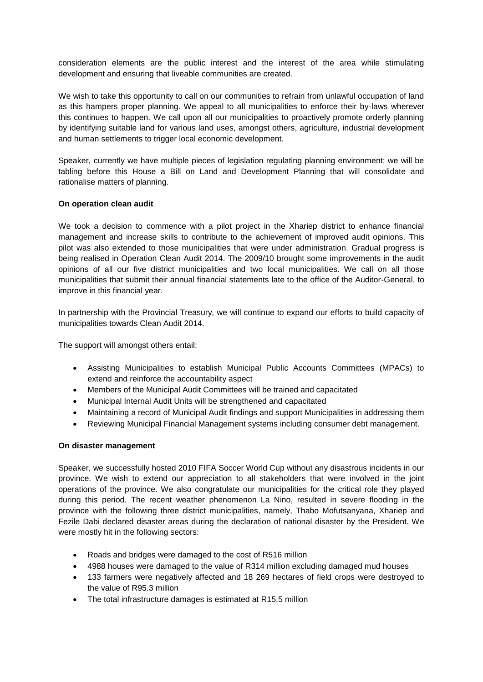consideration elements are the public interest and the interest of the area while stimulating development and ensuring that liveable communities are created.

We wish to take this opportunity to call on our communities to refrain from unlawful occupation of land as this hampers proper planning. We appeal to all municipalities to enforce their by-laws wherever this continues to happen. We call upon all our municipalities to proactively promote orderly planning by identifying suitable land for various land uses, amongst others, agriculture, industrial development and human settlements to trigger local economic development.

Speaker, currently we have multiple pieces of legislation regulating planning environment; we will be tabling before this House a Bill on Land and Development Planning that will consolidate and rationalise matters of planning.

#### **On operation clean audit**

We took a decision to commence with a pilot project in the Xhariep district to enhance financial management and increase skills to contribute to the achievement of improved audit opinions. This pilot was also extended to those municipalities that were under administration. Gradual progress is being realised in Operation Clean Audit 2014. The 2009/10 brought some improvements in the audit opinions of all our five district municipalities and two local municipalities. We call on all those municipalities that submit their annual financial statements late to the office of the Auditor-General, to improve in this financial year.

In partnership with the Provincial Treasury, we will continue to expand our efforts to build capacity of municipalities towards Clean Audit 2014.

The support will amongst others entail:

- Assisting Municipalities to establish Municipal Public Accounts Committees (MPACs) to extend and reinforce the accountability aspect
- Members of the Municipal Audit Committees will be trained and capacitated
- Municipal Internal Audit Units will be strengthened and capacitated
- Maintaining a record of Municipal Audit findings and support Municipalities in addressing them
- Reviewing Municipal Financial Management systems including consumer debt management.

## **On disaster management**

Speaker, we successfully hosted 2010 FIFA Soccer World Cup without any disastrous incidents in our province. We wish to extend our appreciation to all stakeholders that were involved in the joint operations of the province. We also congratulate our municipalities for the critical role they played during this period. The recent weather phenomenon La Nino, resulted in severe flooding in the province with the following three district municipalities, namely, Thabo Mofutsanyana, Xhariep and Fezile Dabi declared disaster areas during the declaration of national disaster by the President. We were mostly hit in the following sectors:

- Roads and bridges were damaged to the cost of R516 million
- 4988 houses were damaged to the value of R314 million excluding damaged mud houses
- 133 farmers were negatively affected and 18 269 hectares of field crops were destroyed to the value of R95.3 million
- The total infrastructure damages is estimated at R15.5 million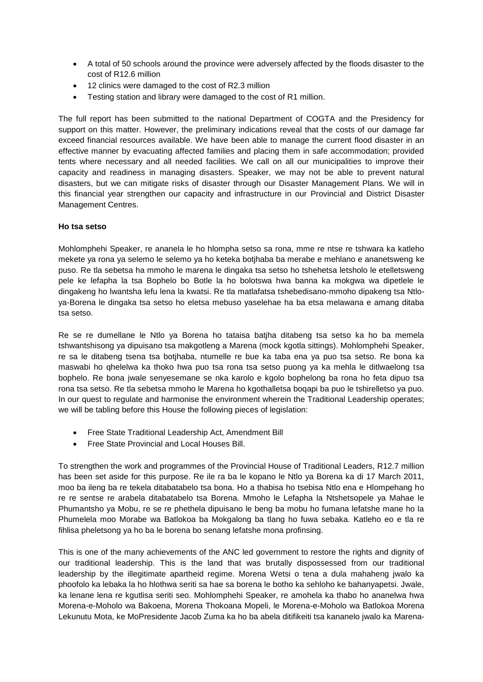- A total of 50 schools around the province were adversely affected by the floods disaster to the cost of R12.6 million
- 12 clinics were damaged to the cost of R2.3 million
- Testing station and library were damaged to the cost of R1 million.

The full report has been submitted to the national Department of COGTA and the Presidency for support on this matter. However, the preliminary indications reveal that the costs of our damage far exceed financial resources available. We have been able to manage the current flood disaster in an effective manner by evacuating affected families and placing them in safe accommodation; provided tents where necessary and all needed facilities. We call on all our municipalities to improve their capacity and readiness in managing disasters. Speaker, we may not be able to prevent natural disasters, but we can mitigate risks of disaster through our Disaster Management Plans. We will in this financial year strengthen our capacity and infrastructure in our Provincial and District Disaster Management Centres.

#### **Ho tsa setso**

Mohlomphehi Speaker, re ananela le ho hlompha setso sa rona, mme re ntse re tshwara ka katleho mekete ya rona ya selemo le selemo ya ho keteka botjhaba ba merabe e mehlano e ananetsweng ke puso. Re tla sebetsa ha mmoho le marena le dingaka tsa setso ho tshehetsa letsholo le etelletsweng pele ke lefapha la tsa Bophelo bo Botle la ho bolotswa hwa banna ka mokgwa wa dipetlele le dingakeng ho lwantsha lefu lena la kwatsi. Re tla matlafatsa tshebedisano-mmoho dipakeng tsa Ntloya-Borena le dingaka tsa setso ho eletsa mebuso yaselehae ha ba etsa melawana e amang ditaba tsa setso.

Re se re dumellane le Ntlo ya Borena ho tataisa batjha ditabeng tsa setso ka ho ba memela tshwantshisong ya dipuisano tsa makgotleng a Marena (mock kgotla sittings). Mohlomphehi Speaker, re sa le ditabeng tsena tsa botjhaba, ntumelle re bue ka taba ena ya puo tsa setso. Re bona ka maswabi ho qhelelwa ka thoko hwa puo tsa rona tsa setso puong ya ka mehla le ditlwaelong tsa bophelo. Re bona jwale senyesemane se nka karolo e kgolo bophelong ba rona ho feta dipuo tsa rona tsa setso. Re tla sebetsa mmoho le Marena ho kgothalletsa boqapi ba puo le tshirelletso ya puo. In our quest to regulate and harmonise the environment wherein the Traditional Leadership operates; we will be tabling before this House the following pieces of legislation:

- Free State Traditional Leadership Act, Amendment Bill
- Free State Provincial and Local Houses Bill.

To strengthen the work and programmes of the Provincial House of Traditional Leaders, R12.7 million has been set aside for this purpose. Re ile ra ba le kopano le Ntlo ya Borena ka di 17 March 2011, moo ba ileng ba re tekela ditabatabelo tsa bona. Ho a thabisa ho tsebisa Ntlo ena e Hlompehang ho re re sentse re arabela ditabatabelo tsa Borena. Mmoho le Lefapha la Ntshetsopele ya Mahae le Phumantsho ya Mobu, re se re phethela dipuisano le beng ba mobu ho fumana lefatshe mane ho la Phumelela moo Morabe wa Batlokoa ba Mokgalong ba tlang ho fuwa sebaka. Katleho eo e tla re fihlisa pheletsong ya ho ba le borena bo senang lefatshe mona profinsing.

This is one of the many achievements of the ANC led government to restore the rights and dignity of our traditional leadership. This is the land that was brutally dispossessed from our traditional leadership by the illegitimate apartheid regime. Morena Wetsi o tena a dula mahaheng jwalo ka phoofolo ka lebaka la ho hlothwa seriti sa hae sa borena le botho ka sehloho ke bahanyapetsi. Jwale, ka lenane lena re kgutlisa seriti seo. Mohlomphehi Speaker, re amohela ka thabo ho ananelwa hwa Morena-e-Moholo wa Bakoena, Morena Thokoana Mopeli, le Morena-e-Moholo wa Batlokoa Morena Lekunutu Mota, ke MoPresidente Jacob Zuma ka ho ba abela ditifikeiti tsa kananelo jwalo ka Marena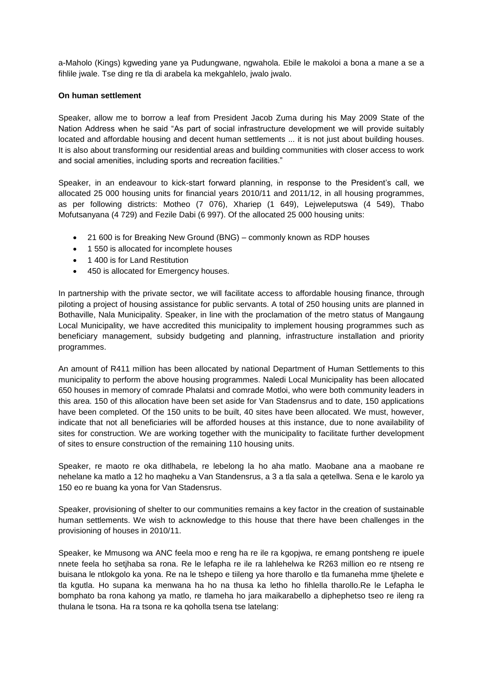a-Maholo (Kings) kgweding yane ya Pudungwane, ngwahola. Ebile le makoloi a bona a mane a se a fihlile jwale. Tse ding re tla di arabela ka mekgahlelo, jwalo jwalo.

#### **On human settlement**

Speaker, allow me to borrow a leaf from President Jacob Zuma during his May 2009 State of the Nation Address when he said "As part of social infrastructure development we will provide suitably located and affordable housing and decent human settlements ... it is not just about building houses. It is also about transforming our residential areas and building communities with closer access to work and social amenities, including sports and recreation facilities."

Speaker, in an endeavour to kick-start forward planning, in response to the President's call, we allocated 25 000 housing units for financial years 2010/11 and 2011/12, in all housing programmes, as per following districts: Motheo (7 076), Xhariep (1 649), Lejweleputswa (4 549), Thabo Mofutsanyana (4 729) and Fezile Dabi (6 997). Of the allocated 25 000 housing units:

- 21 600 is for Breaking New Ground (BNG) commonly known as RDP houses
- 1 550 is allocated for incomplete houses
- 1400 is for Land Restitution
- 450 is allocated for Emergency houses.

In partnership with the private sector, we will facilitate access to affordable housing finance, through piloting a project of housing assistance for public servants. A total of 250 housing units are planned in Bothaville, Nala Municipality. Speaker, in line with the proclamation of the metro status of Mangaung Local Municipality, we have accredited this municipality to implement housing programmes such as beneficiary management, subsidy budgeting and planning, infrastructure installation and priority programmes.

An amount of R411 million has been allocated by national Department of Human Settlements to this municipality to perform the above housing programmes. Naledi Local Municipality has been allocated 650 houses in memory of comrade Phalatsi and comrade Motloi, who were both community leaders in this area. 150 of this allocation have been set aside for Van Stadensrus and to date, 150 applications have been completed. Of the 150 units to be built, 40 sites have been allocated. We must, however, indicate that not all beneficiaries will be afforded houses at this instance, due to none availability of sites for construction. We are working together with the municipality to facilitate further development of sites to ensure construction of the remaining 110 housing units.

Speaker, re maoto re oka ditlhabela, re lebelong la ho aha matlo. Maobane ana a maobane re nehelane ka matlo a 12 ho maqheku a Van Standensrus, a 3 a tla sala a qetellwa. Sena e le karolo ya 150 eo re buang ka yona for Van Stadensrus.

Speaker, provisioning of shelter to our communities remains a key factor in the creation of sustainable human settlements. We wish to acknowledge to this house that there have been challenges in the provisioning of houses in 2010/11.

Speaker, ke Mmusong wa ANC feela moo e reng ha re ile ra kgopjwa, re emang pontsheng re ipuele nnete feela ho setjhaba sa rona. Re le lefapha re ile ra lahlehelwa ke R263 million eo re ntseng re buisana le ntlokgolo ka yona. Re na le tshepo e tiileng ya hore tharollo e tla fumaneha mme tjhelete e tla kgutla. Ho supana ka menwana ha ho na thusa ka letho ho fihlella tharollo.Re le Lefapha le bomphato ba rona kahong ya matlo, re tlameha ho jara maikarabello a diphephetso tseo re ileng ra thulana le tsona. Ha ra tsona re ka qoholla tsena tse latelang: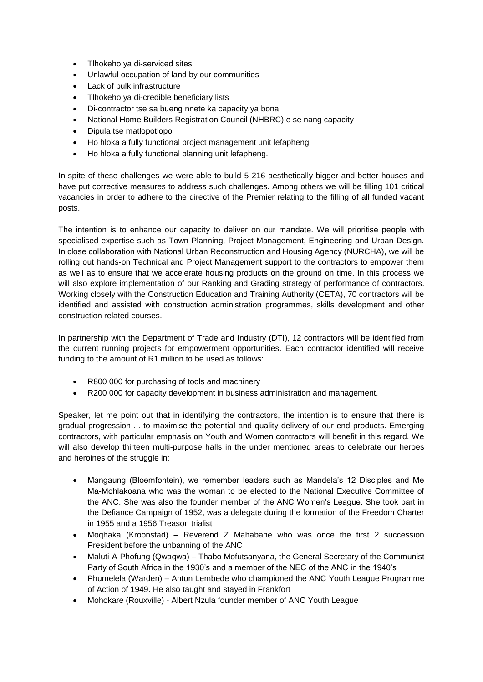- Tlhokeho ya di-serviced sites
- Unlawful occupation of land by our communities
- Lack of bulk infrastructure
- Tlhokeho ya di-credible beneficiary lists
- Di-contractor tse sa bueng nnete ka capacity ya bona
- National Home Builders Registration Council (NHBRC) e se nang capacity
- Dipula tse matlopotlopo
- Ho hloka a fully functional project management unit lefapheng
- Ho hloka a fully functional planning unit lefapheng.

In spite of these challenges we were able to build 5 216 aesthetically bigger and better houses and have put corrective measures to address such challenges. Among others we will be filling 101 critical vacancies in order to adhere to the directive of the Premier relating to the filling of all funded vacant posts.

The intention is to enhance our capacity to deliver on our mandate. We will prioritise people with specialised expertise such as Town Planning, Project Management, Engineering and Urban Design. In close collaboration with National Urban Reconstruction and Housing Agency (NURCHA), we will be rolling out hands-on Technical and Project Management support to the contractors to empower them as well as to ensure that we accelerate housing products on the ground on time. In this process we will also explore implementation of our Ranking and Grading strategy of performance of contractors. Working closely with the Construction Education and Training Authority (CETA), 70 contractors will be identified and assisted with construction administration programmes, skills development and other construction related courses.

In partnership with the Department of Trade and Industry (DTI), 12 contractors will be identified from the current running projects for empowerment opportunities. Each contractor identified will receive funding to the amount of R1 million to be used as follows:

- R800 000 for purchasing of tools and machinery
- R200 000 for capacity development in business administration and management.

Speaker, let me point out that in identifying the contractors, the intention is to ensure that there is gradual progression ... to maximise the potential and quality delivery of our end products. Emerging contractors, with particular emphasis on Youth and Women contractors will benefit in this regard. We will also develop thirteen multi-purpose halls in the under mentioned areas to celebrate our heroes and heroines of the struggle in:

- Mangaung (Bloemfontein), we remember leaders such as Mandela's 12 Disciples and Me Ma-Mohlakoana who was the woman to be elected to the National Executive Committee of the ANC. She was also the founder member of the ANC Women's League. She took part in the Defiance Campaign of 1952, was a delegate during the formation of the Freedom Charter in 1955 and a 1956 Treason trialist
- Moqhaka (Kroonstad) Reverend Z Mahabane who was once the first 2 succession President before the unbanning of the ANC
- Maluti-A-Phofung (Qwaqwa) Thabo Mofutsanyana, the General Secretary of the Communist Party of South Africa in the 1930's and a member of the NEC of the ANC in the 1940's
- Phumelela (Warden) Anton Lembede who championed the ANC Youth League Programme of Action of 1949. He also taught and stayed in Frankfort
- Mohokare (Rouxville) Albert Nzula founder member of ANC Youth League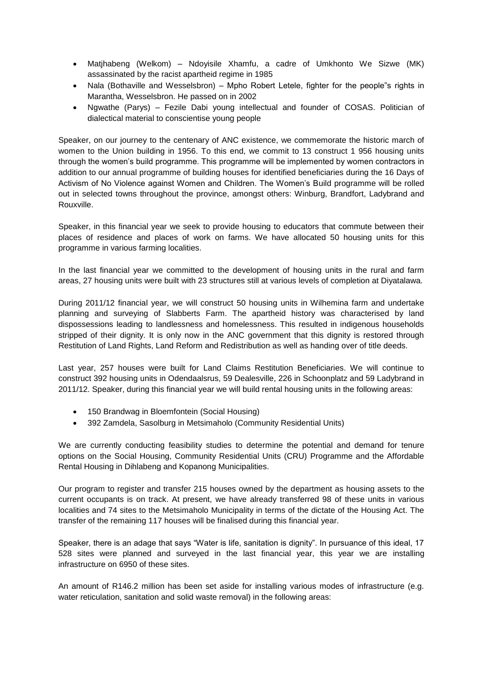- Matjhabeng (Welkom) Ndoyisile Xhamfu, a cadre of Umkhonto We Sizwe (MK) assassinated by the racist apartheid regime in 1985
- Nala (Bothaville and Wesselsbron) Mpho Robert Letele, fighter for the people<sup>r</sup>s rights in Marantha, Wesselsbron. He passed on in 2002
- Ngwathe (Parys) Fezile Dabi young intellectual and founder of COSAS. Politician of dialectical material to conscientise young people

Speaker, on our journey to the centenary of ANC existence, we commemorate the historic march of women to the Union building in 1956. To this end, we commit to 13 construct 1 956 housing units through the women's build programme. This programme will be implemented by women contractors in addition to our annual programme of building houses for identified beneficiaries during the 16 Days of Activism of No Violence against Women and Children. The Women's Build programme will be rolled out in selected towns throughout the province, amongst others: Winburg, Brandfort, Ladybrand and Rouxville.

Speaker, in this financial year we seek to provide housing to educators that commute between their places of residence and places of work on farms. We have allocated 50 housing units for this programme in various farming localities.

In the last financial year we committed to the development of housing units in the rural and farm areas, 27 housing units were built with 23 structures still at various levels of completion at Diyatalawa.

During 2011/12 financial year, we will construct 50 housing units in Wilhemina farm and undertake planning and surveying of Slabberts Farm. The apartheid history was characterised by land dispossessions leading to landlessness and homelessness. This resulted in indigenous households stripped of their dignity. It is only now in the ANC government that this dignity is restored through Restitution of Land Rights, Land Reform and Redistribution as well as handing over of title deeds.

Last year, 257 houses were built for Land Claims Restitution Beneficiaries. We will continue to construct 392 housing units in Odendaalsrus, 59 Dealesville, 226 in Schoonplatz and 59 Ladybrand in 2011/12. Speaker, during this financial year we will build rental housing units in the following areas:

- 150 Brandwag in Bloemfontein (Social Housing)
- 392 Zamdela, Sasolburg in Metsimaholo (Community Residential Units)

We are currently conducting feasibility studies to determine the potential and demand for tenure options on the Social Housing, Community Residential Units (CRU) Programme and the Affordable Rental Housing in Dihlabeng and Kopanong Municipalities.

Our program to register and transfer 215 houses owned by the department as housing assets to the current occupants is on track. At present, we have already transferred 98 of these units in various localities and 74 sites to the Metsimaholo Municipality in terms of the dictate of the Housing Act. The transfer of the remaining 117 houses will be finalised during this financial year.

Speaker, there is an adage that says "Water is life, sanitation is dignity". In pursuance of this ideal, 17 528 sites were planned and surveyed in the last financial year, this year we are installing infrastructure on 6950 of these sites.

An amount of R146.2 million has been set aside for installing various modes of infrastructure (e.g. water reticulation, sanitation and solid waste removal) in the following areas: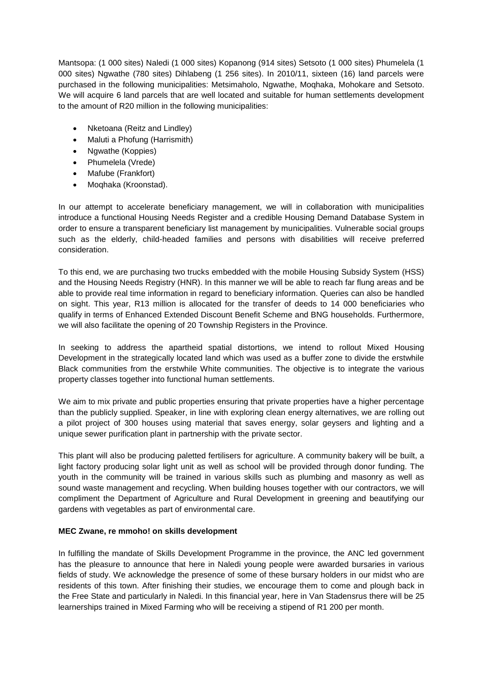Mantsopa: (1 000 sites) Naledi (1 000 sites) Kopanong (914 sites) Setsoto (1 000 sites) Phumelela (1 000 sites) Ngwathe (780 sites) Dihlabeng (1 256 sites). In 2010/11, sixteen (16) land parcels were purchased in the following municipalities: Metsimaholo, Ngwathe, Moqhaka, Mohokare and Setsoto. We will acquire 6 land parcels that are well located and suitable for human settlements development to the amount of R20 million in the following municipalities:

- Nketoana (Reitz and Lindley)
- Maluti a Phofung (Harrismith)
- Ngwathe (Koppies)
- Phumelela (Vrede)
- Mafube (Frankfort)
- Moqhaka (Kroonstad).

In our attempt to accelerate beneficiary management, we will in collaboration with municipalities introduce a functional Housing Needs Register and a credible Housing Demand Database System in order to ensure a transparent beneficiary list management by municipalities. Vulnerable social groups such as the elderly, child-headed families and persons with disabilities will receive preferred consideration.

To this end, we are purchasing two trucks embedded with the mobile Housing Subsidy System (HSS) and the Housing Needs Registry (HNR). In this manner we will be able to reach far flung areas and be able to provide real time information in regard to beneficiary information. Queries can also be handled on sight. This year, R13 million is allocated for the transfer of deeds to 14 000 beneficiaries who qualify in terms of Enhanced Extended Discount Benefit Scheme and BNG households. Furthermore, we will also facilitate the opening of 20 Township Registers in the Province.

In seeking to address the apartheid spatial distortions, we intend to rollout Mixed Housing Development in the strategically located land which was used as a buffer zone to divide the erstwhile Black communities from the erstwhile White communities. The objective is to integrate the various property classes together into functional human settlements.

We aim to mix private and public properties ensuring that private properties have a higher percentage than the publicly supplied. Speaker, in line with exploring clean energy alternatives, we are rolling out a pilot project of 300 houses using material that saves energy, solar geysers and lighting and a unique sewer purification plant in partnership with the private sector.

This plant will also be producing paletted fertilisers for agriculture. A community bakery will be built, a light factory producing solar light unit as well as school will be provided through donor funding. The youth in the community will be trained in various skills such as plumbing and masonry as well as sound waste management and recycling. When building houses together with our contractors, we will compliment the Department of Agriculture and Rural Development in greening and beautifying our gardens with vegetables as part of environmental care.

## **MEC Zwane, re mmoho! on skills development**

In fulfilling the mandate of Skills Development Programme in the province, the ANC led government has the pleasure to announce that here in Naledi young people were awarded bursaries in various fields of study. We acknowledge the presence of some of these bursary holders in our midst who are residents of this town. After finishing their studies, we encourage them to come and plough back in the Free State and particularly in Naledi. In this financial year, here in Van Stadensrus there will be 25 learnerships trained in Mixed Farming who will be receiving a stipend of R1 200 per month.